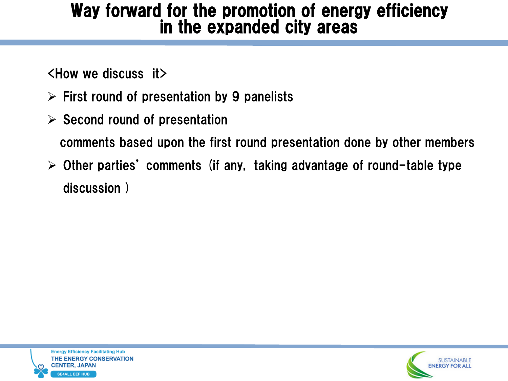## Way forward for the promotion of energy efficiency in the expanded city areas

<How we discuss it>

- $\triangleright$  First round of presentation by 9 panelists
- $\triangleright$  Second round of presentation

comments based upon the first round presentation done by other members

 $\geq$  Other parties' comments (if any, taking advantage of round-table type discussion )



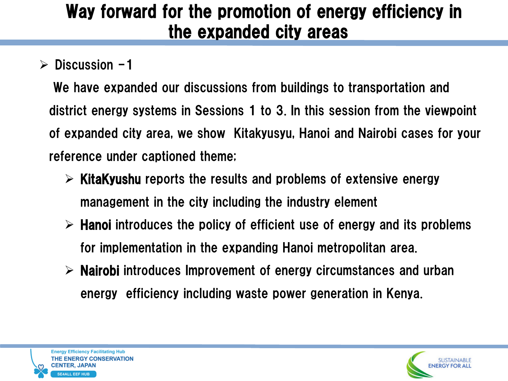# Way forward for the promotion of energy efficiency in the expanded city areas

## $\triangleright$  Discussion -1

We have expanded our discussions from buildings to transportation and district energy systems in Sessions 1 to 3. In this session from the viewpoint of expanded city area, we show Kitakyusyu, Hanoi and Nairobi cases for your reference under captioned theme;

- $\triangleright$  KitaKyushu reports the results and problems of extensive energy management in the city including the industry element
- $\triangleright$  Hanoi introduces the policy of efficient use of energy and its problems for implementation in the expanding Hanoi metropolitan area.
- $\triangleright$  Nairobi introduces Improvement of energy circumstances and urban energy efficiency including waste power generation in Kenya.



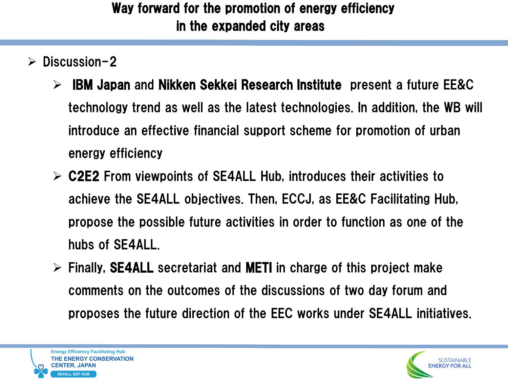#### Way forward for the promotion of energy efficiency in the expanded city areas i<br>I

- $\triangleright$  Discussion-2
	- $\triangleright$  IBM Japan and Nikken Sekkei Research Institute present a future EE&C technology trend as well as the latest technologies. In addition, the WB will introduce an effective financial support scheme for promotion of urban energy efficiency
	- $\triangleright$  C2E2 From viewpoints of SE4ALL Hub, introduces their activities to achieve the SE4ALL objectives. Then, ECCJ, as EE&C Facilitating Hub, propose the possible future activities in order to function as one of the hubs of SE4ALL.
	- $\triangleright$  Finally, SE4ALL secretariat and METI in charge of this project make comments on the outcomes of the discussions of two day forum and proposes the future direction of the EEC works under SE4ALL initiatives.